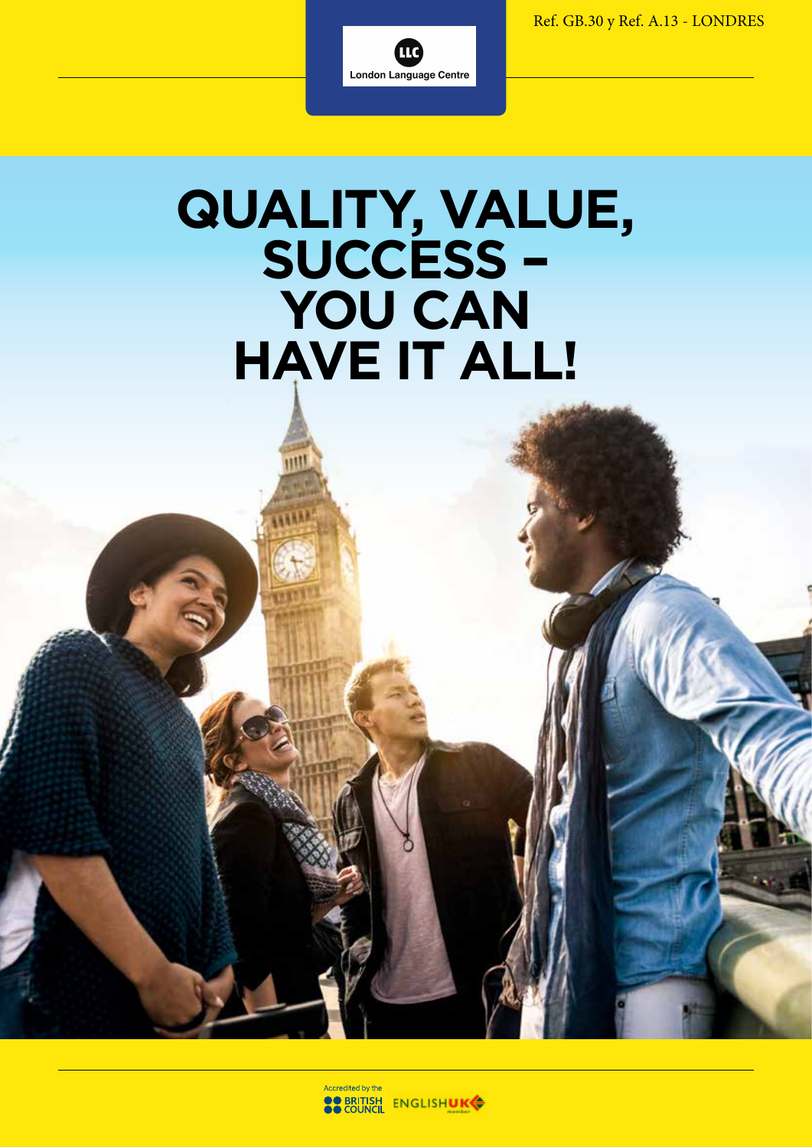Ref. GB.30 y Ref. A.13 - LONDRES



## **QUALITY, VALUE, SUCCESS – YOU CAN HAVE IT ALL!**

m

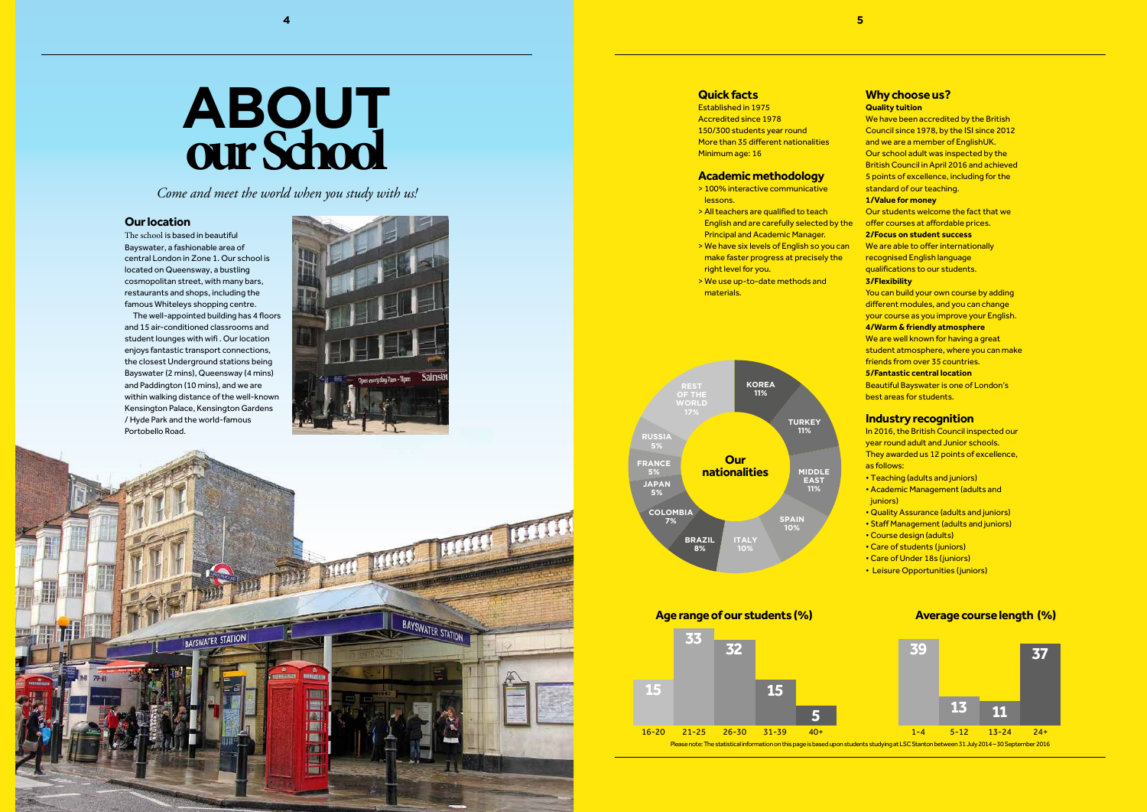# **ABOUT our School**

*Come and meet the world when you study with us!*



#### **Our location**

The school is based in beautiful Bayswater, a fashionable area of central London in Zone 1. Our school is located on Queensway, a bustling cosmopolitan street, with many bars, restaurants and shops, including the famous Whiteleys shopping centre.

The well-appointed building has 4 floors and 15 air-conditioned classrooms and student lounges with wifi . Our location enjoys fantastic transport connections, the closest Underground stations being Bayswater (2 mins), Queensway (4 mins) and Paddington (10 mins), and we are within walking distance of the well-known Kensington Palace, Kensington Gardens / Hyde Park and the world-famous Portobello Road.





- We have been accredited by the British Council since 1978, by the ISI since 2012 and we are a member of EnglishUK. Our school adult was inspected by the British Council in April 2016 and achieved 5 points of excellence, including for the standard of our teaching. **1/Value for money**  Our students welcome the fact that we offer courses at affordable prices. **2/Focus on student success**  We are able to offer internationally
- recognised English language qualifications to our students.



- You can build your own course by adding different modules, and you can change your course as you improve your English.
- **4/Warm & friendly atmosphere**
- We are well known for having a great
- student atmosphere, where you can make friends from over 35 countries.
- **5/Fantastic central location**
- Beautiful Bayswater is one of London's best areas for students.

#### **Why choose us?**

#### **Quality tuition**

- In 2016, the British Council inspected our year round adult and Junior schools. They awarded us 12 points of excellence, as follows:
- Teaching (adults and juniors)
- Academic Management (adults and juniors)
- Quality Assurance (adults and juniors)
- Staff Management (adults and juniors)
- Course design (adults)
- Care of students (juniors)
- Care of Under 18s (juniors)
- Leisure Opportunities (juniors)

#### **3/Flexibility**

#### **Industry recognition**

#### **Quick facts**

Established in 1975 Accredited since 1978 150/300 students year round More than 35 different nationalities Minimum age: 16

#### **Academic methodology**

- > 100% interactive communicative lessons.
- > All teachers are qualified to teach English and are carefully selected by the Principal and Academic Manager.
- > We have six levels of English so you can make faster progress at precisely the right level for you.
- > We use up-to-date methods and materials.



**Age range of our students (%) Average course length (%)**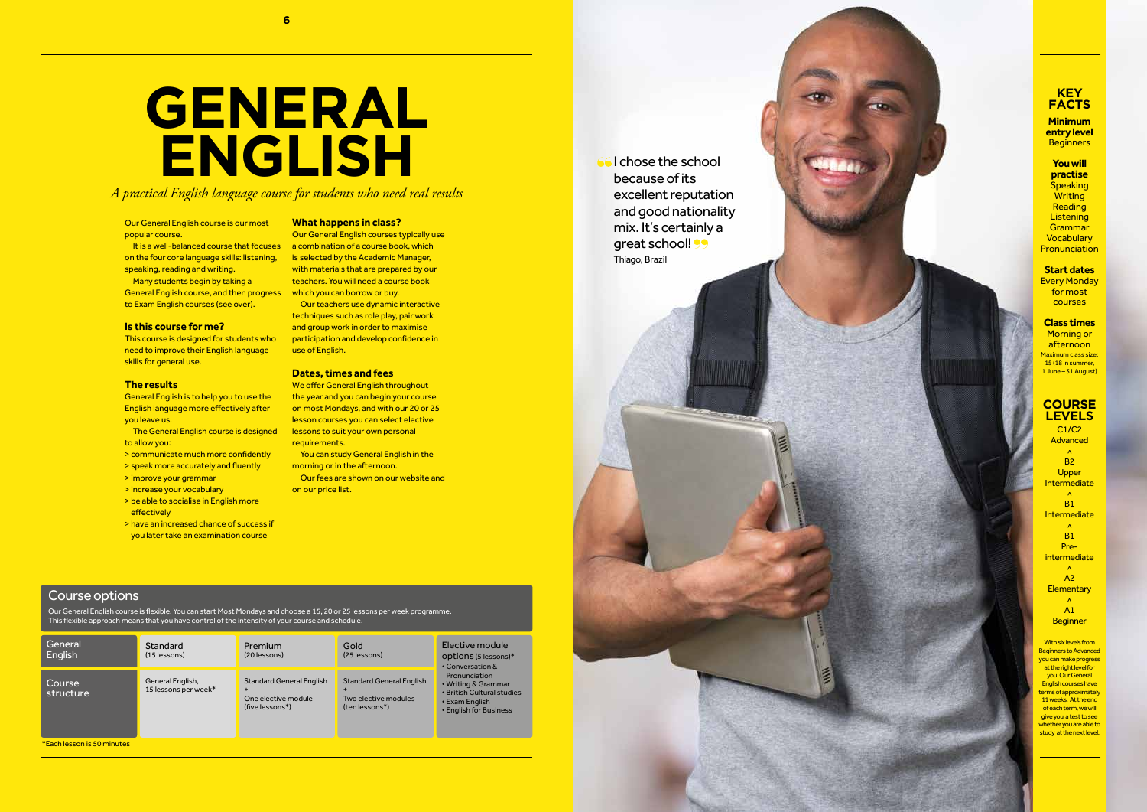It is a well-balanced course that focuses on the four core language skills: listening, speaking, reading and writing.

Many students begin by taking a General English course, and then progress to Exam English courses (see over).

Our General English course is our most popular course.

#### **Is this course for me?**

This course is designed for students who need to improve their English language skills for general use.

Our General English course is flexible. You can start Most Mondays and choose a 15, 20 or 25 lessons per week programme. This flexible approach means that you have control of the intensity of your course and schedule

#### **The results**

General English is to help you to use the English language more effectively after you leave us.

Our General English courses typically use a combination of a course book, which is selected by the Academic Manager, with materials that are prepared by our teachers. You will need a course book which you can borrow or buy.

- The General English course is designed to allow you:
- > communicate much more confidently
- > speak more accurately and fluently
- > improve your grammar
- > increase your vocabulary
- > be able to socialise in English more effectively
- > have an increased chance of success if you later take an examination course

We offer General English throughout the year and you can begin your course on most Mondays, and with our 20 or 25 lesson courses you can select elective lessons to suit your own personal requirements.

You can study General English in the morning or in the afternoon.

> With six levels from Beginners to Advanced you can make progress at the right level for you. Our General English courses have terms of approximately 11 weeks. At the end of each term, we will give you a test to see whether you are able to study at the next level.

#### Course options

**Minimum entry level Beginners** 

**You will practise Speaking Writing Reading Listening Grammar Vocabulary Pronunciation** 

# **GENERAL ENGLISH** Global Colchose the school

C1/C2 Advanced  $\lambda$ B2 **COURSE LEVELS**

**Upper Intermediate**  $\lambda$ B1 Intermediate  $\Lambda$ B1 Preintermediate  $\lambda$ A2 **Elementary**  $\overline{a}$ A1 **Beginner** 

| General<br>English         | Standard<br>$(15$ lessons)               | Premium<br>(20 lessons)                                                   | Gold<br>(25 lessons)                                                      | Elective module<br>options (5 lessons)*<br>• Conversation &<br>Pronunciation<br>• Writing & Grammar<br>• British Cultural studies<br>• Exam English<br>• English for Business |
|----------------------------|------------------------------------------|---------------------------------------------------------------------------|---------------------------------------------------------------------------|-------------------------------------------------------------------------------------------------------------------------------------------------------------------------------|
| Course<br>structure        | General English,<br>15 lessons per week* | <b>Standard General English</b><br>One elective module<br>(five lessons*) | <b>Standard General English</b><br>Two elective modules<br>(ten lessons*) |                                                                                                                                                                               |
| *Each lesson is 50 minutes |                                          |                                                                           |                                                                           |                                                                                                                                                                               |

#### **What happens in class?**

Our teachers use dynamic interactive techniques such as role play, pair work and group work in order to maximise participation and develop confidence in use of English.

#### **Dates, times and fees**

Our fees are shown on our website and on our price list.

#### **KEY FACTS**

**Start dates** Every Monday for most courses

**Class times** Morning or afternoon Maximum class size: 15 (18 in summer, 1 June – 31 August)

*A practical English language course for students who need real results*

because of its excellent reputation and good nationality mix. It's certainly a great school! 99 Thiago, Brazil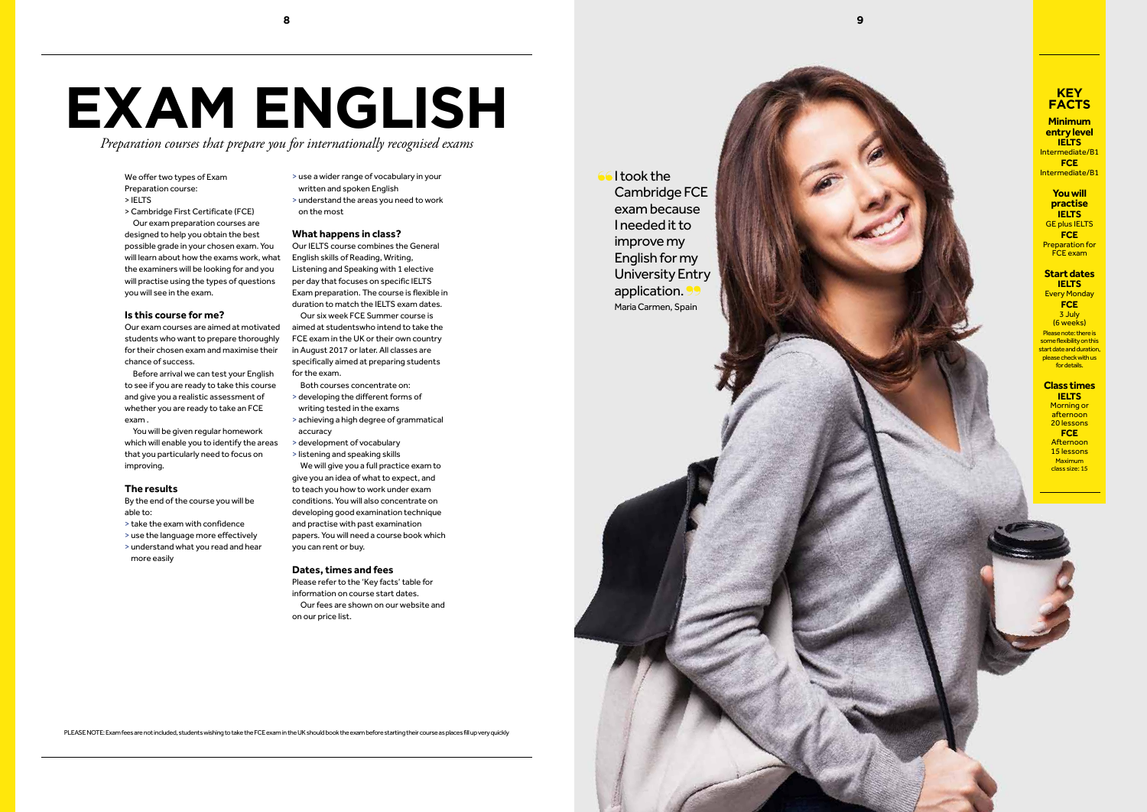We offer two types of Exam Preparation course:

- > IELTS
- > Cambridge First Certificate (FCE) Our exam preparation courses are designed to help you obtain the best possible grade in your chosen exam. You will learn about how the exams work, what the examiners will be looking for and you will practise using the types of questions you will see in the exam.

#### **Is this course for me?**

Our exam courses are aimed at motivated students who want to prepare thoroughly for their chosen exam and maximise their chance of success.

Before arrival we can test your English to see if you are ready to take this course and give you a realistic assessment of whether you are ready to take an FCE exam .

You will be given regular homework which will enable you to identify the areas that you particularly need to focus on improving.

#### **The results**

By the end of the course you will be able to:

- <sup>&</sup>gt; take the exam with confidence > use the language more effectively
- 
- > understand what you read and hear more easily
- > use a wider range of vocabulary in your
- written and spoken English
- > understand the areas you need to work on the most

#### **What happens in class?**

GE plus IELTS **FCE**  Preparation for **FCE** exam

Every Monday **FCE**  3 July (6 weeks) Please note: there is some flexibility on this start date and duration, please check with us for details.

Our IELTS course combines the General English skills of Reading, Writing, Listening and Speaking with 1 elective per day that focuses on specific IELTS Exam preparation. The course is flexible in duration to match the IELTS exam dates. Our six week FCE Summer course is aimed at studentswho intend to take the FCE exam in the UK or their own country in August 2017 or later. All classes are specifically aimed at preparing students for the exam.

#### **Class times IELTS Morning or**

Both courses concentrate on:

- > developing the different forms of writing tested in the exams
- > achieving a high degree of grammatical accuracy
- <sup>&</sup>gt; development of vocabulary > listening and speaking skills
- We will give you a full practice exam to

give you an idea of what to expect, and to teach you how to work under exam conditions. You will also concentrate on developing good examination technique and practise with past examination papers. You will need a course book which you can rent or buy.

#### **Dates, times and fees**

Please refer to the 'Key facts' table for information on course start dates. Our fees are shown on our website and on our price list.

# **EXAM ENGLISH**

*Preparation courses that prepare you for internationally recognised exams*

PLEASE NOTE: Exam fees are not included, students wishing to take the FCE exam in the UK should book the exam before starting their course as places fill up very quickly

#### **KEY FACTS**

**Minimum entry level IELTS**  Intermediate/B1 **FCE** Intermediate/B1

#### **You will practise IELTS**

#### **Start dates IELTS**

afternoon 20 lessons **FCE**  Afternoon 15 lessons **Maximum** class size: 15



I took the Cambridge FCE exam because I needed it to improve my English for my University Entry application. Maria Carmen, Spain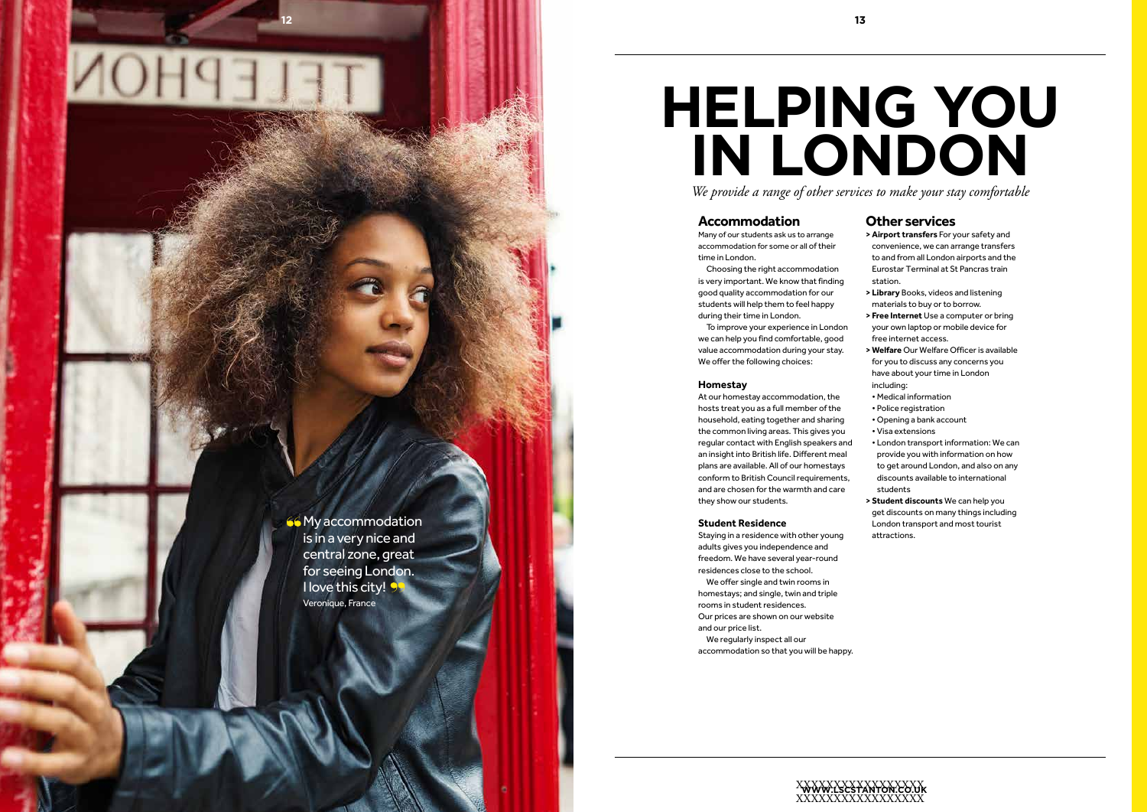## **HELPING YOU IN LONDON** *We provide a range of other services to make your stay comfortable*

#### **Accommodation**

Many of our students ask us to arrange accommodation for some or all of their time in London.

Choosing the right accommodation is very important. We know that finding good quality accommodation for our students will help them to feel happy during their time in London.

To improve your experience in London we can help you find comfortable, good value accommodation during your stay. We offer the following choices:

#### **Homestay**

At our homestay accommodation, the hosts treat you as a full member of the household, eating together and sharing the common living areas. This gives you regular contact with English speakers and an insight into British life. Different meal plans are available. All of our homestays conform to British Council requirements, and are chosen for the warmth and care they show our students.

#### **Student Residence**

Staying in a residence with other young adults gives you independence and freedom. We have several year-round residences close to the school.

**66** My accommodation is in a very nice and central zone, great for seeing London. I love this city! 9 Veronique, France

We offer single and twin rooms in homestays; and single, twin and triple rooms in student residences. Our prices are shown on our website and our price list.

We regularly inspect all our accommodation so that you will be happy.

### **Other services**

- **> Airport transfers** For your safety and convenience, we can arrange transfers to and from all London airports and the Eurostar Terminal at St Pancras train station.
- **> Library** Books, videos and listening materials to buy or to borrow.
- **> Free Internet** Use a computer or bring your own laptop or mobile device for free internet access.
- **> Welfare** Our Welfare Officer is available for you to discuss any concerns you have about your time in London including:
- Medical information
- Police registration
- Opening a bank account
- Visa extensions
- London transport information: We can provide you with information on how to get around London, and also on any discounts available to international students
- **> Student discounts** We can help you get discounts on many things including London transport and most tourist attractions.

**13**

**12**

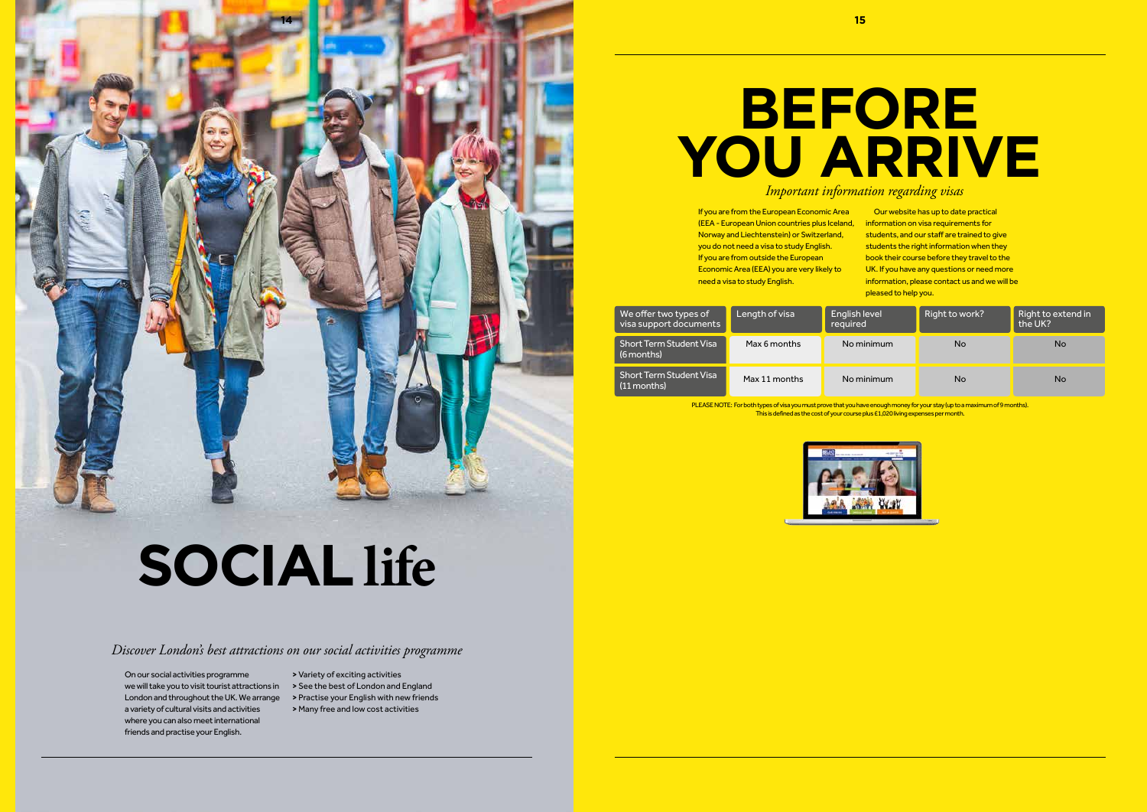On our social activities programme we will take you to visit tourist attractions in **>** See the best of London and England London and throughout the UK. We arrange a variety of cultural visits and activities where you can also meet international friends and practise your English.

- **>** Variety of exciting activities
- 
- **>** Practise your English with new friends
- **>** Many free and low cost activities

# **SOCIAL life**

### *Discover London's best attractions on our social activities programme*

## **BEFORE YOU ARRIVE** *Important information regarding visas*

PLEASE NOTE: For both types of visa you must prove that you have enough money for your stay (up to a maximum of 9 months). This is defined as the cost of your course plus £1,020 living expenses per month.



| We offer two types of<br>visa support documents | Length of visa | English level<br>required | Right to work? | Right to extend in<br>the UK? |
|-------------------------------------------------|----------------|---------------------------|----------------|-------------------------------|
| <b>Short Term Student Visa</b><br>(6 months)    | Max 6 months   | No minimum                | No             | <b>No</b>                     |
| ' Short Term Student Visa ,<br>(11 months)      | Max 11 months  | No minimum                | <b>No</b>      | No                            |

If you are from the European Economic Area (EEA - European Union countries plus Iceland, Norway and Liechtenstein) or Switzerland, you do not need a visa to study English. If you are from outside the European Economic Area (EEA) you are very likely to need a visa to study English. Our website has up to date practical information on visa requirements for students, and our staff are trained to give students the right information when they book their course before they travel to the UK. If you have any questions or need more information, please contact us and we will be pleased to help you.